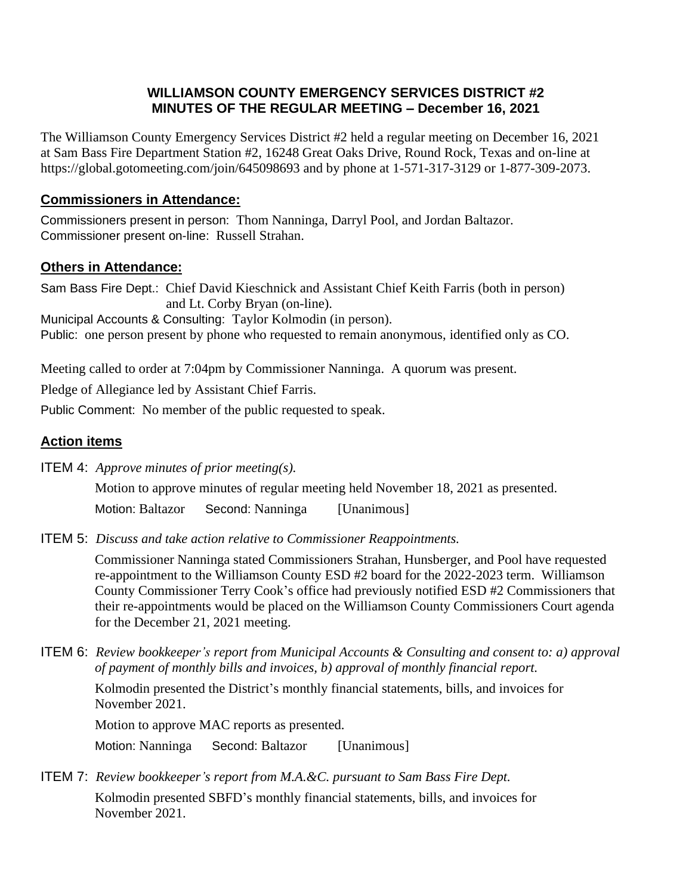## **WILLIAMSON COUNTY EMERGENCY SERVICES DISTRICT #2 MINUTES OF THE REGULAR MEETING – December 16, 2021**

The Williamson County Emergency Services District #2 held a regular meeting on December 16, 2021 at Sam Bass Fire Department Station #2, 16248 Great Oaks Drive, Round Rock, Texas and on-line at https://global.gotomeeting.com/join/645098693 and by phone at 1-571-317-3129 or 1-877-309-2073.

## **Commissioners in Attendance:**

Commissioners present in person: Thom Nanninga, Darryl Pool, and Jordan Baltazor. Commissioner present on-line: Russell Strahan.

## **Others in Attendance:**

Sam Bass Fire Dept.: Chief David Kieschnick and Assistant Chief Keith Farris (both in person) and Lt. Corby Bryan (on-line). Municipal Accounts & Consulting: Taylor Kolmodin (in person).

Public: one person present by phone who requested to remain anonymous, identified only as CO.

Meeting called to order at 7:04pm by Commissioner Nanninga. A quorum was present.

Pledge of Allegiance led by Assistant Chief Farris.

Public Comment: No member of the public requested to speak.

# **Action items**

ITEM 4: *Approve minutes of prior meeting(s).*

Motion to approve minutes of regular meeting held November 18, 2021 as presented.

Motion: Baltazor Second: Nanninga [Unanimous]

ITEM 5: *Discuss and take action relative to Commissioner Reappointments.*

 Commissioner Nanninga stated Commissioners Strahan, Hunsberger, and Pool have requested re-appointment to the Williamson County ESD #2 board for the 2022-2023 term. Williamson County Commissioner Terry Cook's office had previously notified ESD #2 Commissioners that their re-appointments would be placed on the Williamson County Commissioners Court agenda for the December 21, 2021 meeting.

ITEM 6: *Review bookkeeper's report from Municipal Accounts & Consulting and consent to: a) approval of payment of monthly bills and invoices, b) approval of monthly financial report.*

 Kolmodin presented the District's monthly financial statements, bills, and invoices for November 2021.

Motion to approve MAC reports as presented.

Motion: Nanninga Second: Baltazor [Unanimous]

ITEM 7: *Review bookkeeper's report from M.A.&C. pursuant to Sam Bass Fire Dept.*

 Kolmodin presented SBFD's monthly financial statements, bills, and invoices for November 2021.